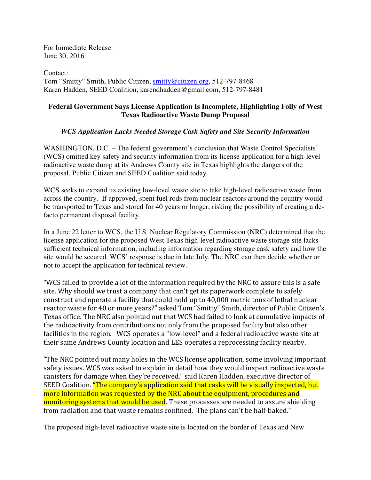For Immediate Release: June 30, 2016

Contact: Tom "Smitty" Smith, Public Citizen, smitty@citizen.org, 512-797-8468 Karen Hadden, SEED Coalition, karendhadden@gmail.com, 512-797-8481

## **Federal Government Says License Application Is Incomplete, Highlighting Folly of West Texas Radioactive Waste Dump Proposal**

## *WCS Application Lacks Needed Storage Cask Safety and Site Security Information*

WASHINGTON, D.C. – The federal government's conclusion that Waste Control Specialists' (WCS) omitted key safety and security information from its license application for a high-level radioactive waste dump at its Andrews County site in Texas highlights the dangers of the proposal, Public Citizen and SEED Coalition said today.

WCS seeks to expand its existing low-level waste site to take high-level radioactive waste from across the country. If approved, spent fuel rods from nuclear reactors around the country would be transported to Texas and stored for 40 years or longer, risking the possibility of creating a defacto permanent disposal facility.

In a June 22 letter to WCS, the U.S. Nuclear Regulatory Commission (NRC) determined that the license application for the proposed West Texas high-level radioactive waste storage site lacks sufficient technical information, including information regarding storage cask safety and how the site would be secured. WCS' response is due in late July. The NRC can then decide whether or not to accept the application for technical review.

"WCS failed to provide a lot of the information required by the NRC to assure this is a safe site. Why should we trust a company that can't get its paperwork complete to safely construct and operate a facility that could hold up to 40,000 metric tons of lethal nuclear reactor waste for 40 or more years?" asked Tom "Smitty" Smith, director of Public Citizen's Texas office. The NRC also pointed out that WCS had failed to look at cumulative impacts of the radioactivity from contributions not only from the proposed facility but also other facilities in the region. WCS operates a "low-level" and a federal radioactive waste site at their same Andrews County location and LES operates a reprocessing facility nearby.

"The NRC pointed out many holes in the WCS license application, some involving important safety issues. WCS was asked to explain in detail how they would inspect radioactive waste canisters for damage when they're received," said Karen Hadden, executive director of SEED Coalition. "The company's application said that casks will be visually inspected, but more information was requested by the NRC about the equipment, procedures and monitoring systems that would be used. These processes are needed to assure shielding from radiation and that waste remains confined. The plans can't be half-baked."

The proposed high-level radioactive waste site is located on the border of Texas and New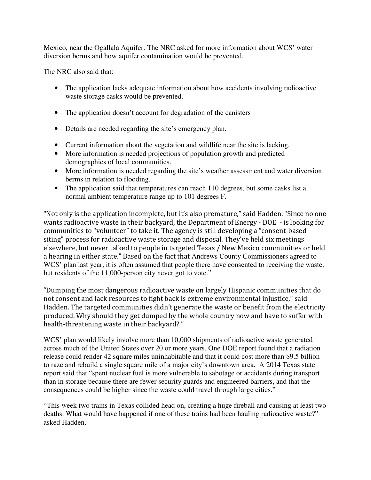Mexico, near the Ogallala Aquifer. The NRC asked for more information about WCS' water diversion berms and how aquifer contamination would be prevented.

The NRC also said that:

- The application lacks adequate information about how accidents involving radioactive waste storage casks would be prevented.
- The application doesn't account for degradation of the canisters
- Details are needed regarding the site's emergency plan.
- Current information about the vegetation and wildlife near the site is lacking,
- More information is needed projections of population growth and predicted demographics of local communities.
- More information is needed regarding the site's weather assessment and water diversion berms in relation to flooding.
- The application said that temperatures can reach 110 degrees, but some casks list a normal ambient temperature range up to 101 degrees F.

"Not only is the application incomplete, but it's also premature," said Hadden. "Since no one wants radioactive waste in their backyard, the Department of Energy - DOE - is looking for communities to "volunteer" to take it. The agency is still developing a "consent-based siting" process for radioactive waste storage and disposal. They've held six meetings elsewhere, but never talked to people in targeted Texas / New Mexico communities or held a hearing in either state." Based on the fact that Andrews County Commissioners agreed to WCS' plan last year, it is often assumed that people there have consented to receiving the waste, but residents of the 11,000-person city never got to vote."

"Dumping the most dangerous radioactive waste on largely Hispanic communities that do not consent and lack resources to fight back is extreme environmental injustice," said Hadden. The targeted communities didn't generate the waste or benefit from the electricity produced. Why should they get dumped by the whole country now and have to suffer with health-threatening waste in their backyard? "

WCS' plan would likely involve more than 10,000 shipments of radioactive waste generated across much of the United States over 20 or more years. One DOE report found that a radiation release could render 42 square miles uninhabitable and that it could cost more than \$9.5 billion to raze and rebuild a single square mile of a major city's downtown area. A 2014 Texas state report said that "spent nuclear fuel is more vulnerable to sabotage or accidents during transport than in storage because there are fewer security guards and engineered barriers, and that the consequences could be higher since the waste could travel through large cities."

"This week two trains in Texas collided head on, creating a huge fireball and causing at least two deaths. What would have happened if one of these trains had been hauling radioactive waste?" asked Hadden.